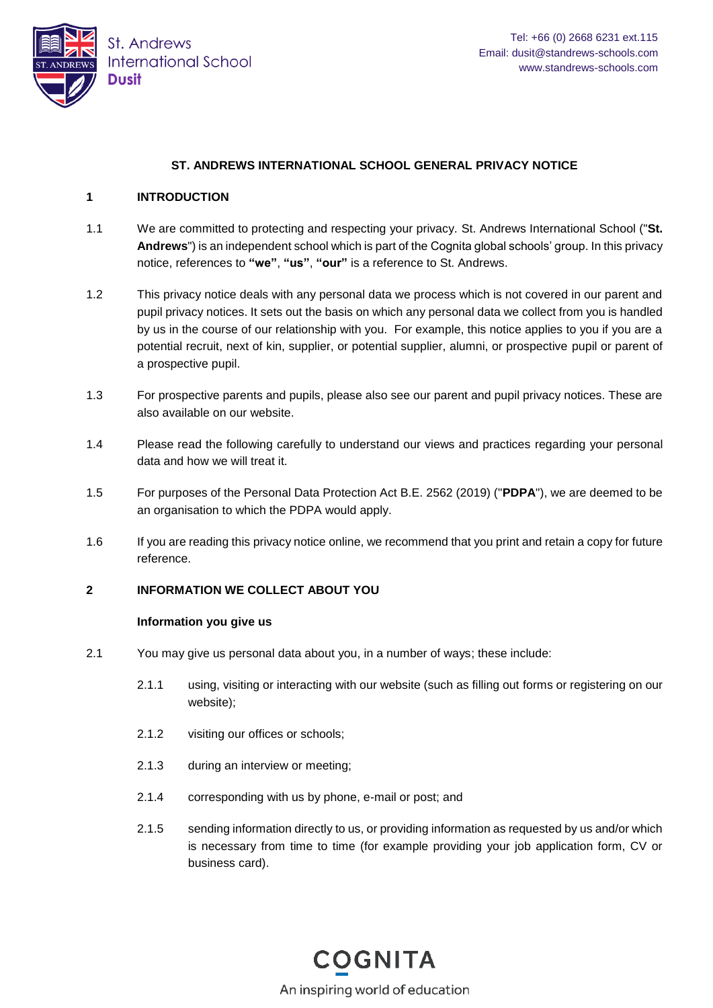

# **ST. ANDREWS INTERNATIONAL SCHOOL GENERAL PRIVACY NOTICE**

### **1 INTRODUCTION**

- 1.1 We are committed to protecting and respecting your privacy. St. Andrews International School ("**St. Andrews**") is an independent school which is part of the Cognita global schools' group. In this privacy notice, references to **"we"**, **"us"**, **"our"** is a reference to St. Andrews.
- 1.2 This privacy notice deals with any personal data we process which is not covered in our parent and pupil privacy notices. It sets out the basis on which any personal data we collect from you is handled by us in the course of our relationship with you. For example, this notice applies to you if you are a potential recruit, next of kin, supplier, or potential supplier, alumni, or prospective pupil or parent of a prospective pupil.
- 1.3 For prospective parents and pupils, please also see our parent and pupil privacy notices. These are also available on our website.
- 1.4 Please read the following carefully to understand our views and practices regarding your personal data and how we will treat it.
- 1.5 For purposes of the Personal Data Protection Act B.E. 2562 (2019) ("**PDPA**"), we are deemed to be an organisation to which the PDPA would apply.
- 1.6 If you are reading this privacy notice online, we recommend that you print and retain a copy for future reference.

# **2 INFORMATION WE COLLECT ABOUT YOU**

### **Information you give us**

- 2.1 You may give us personal data about you, in a number of ways; these include:
	- 2.1.1 using, visiting or interacting with our website (such as filling out forms or registering on our website);
	- 2.1.2 visiting our offices or schools;
	- 2.1.3 during an interview or meeting;
	- 2.1.4 corresponding with us by phone, e-mail or post; and
	- 2.1.5 sending information directly to us, or providing information as requested by us and/or which is necessary from time to time (for example providing your job application form, CV or business card).

**COGNITA** An inspiring world of education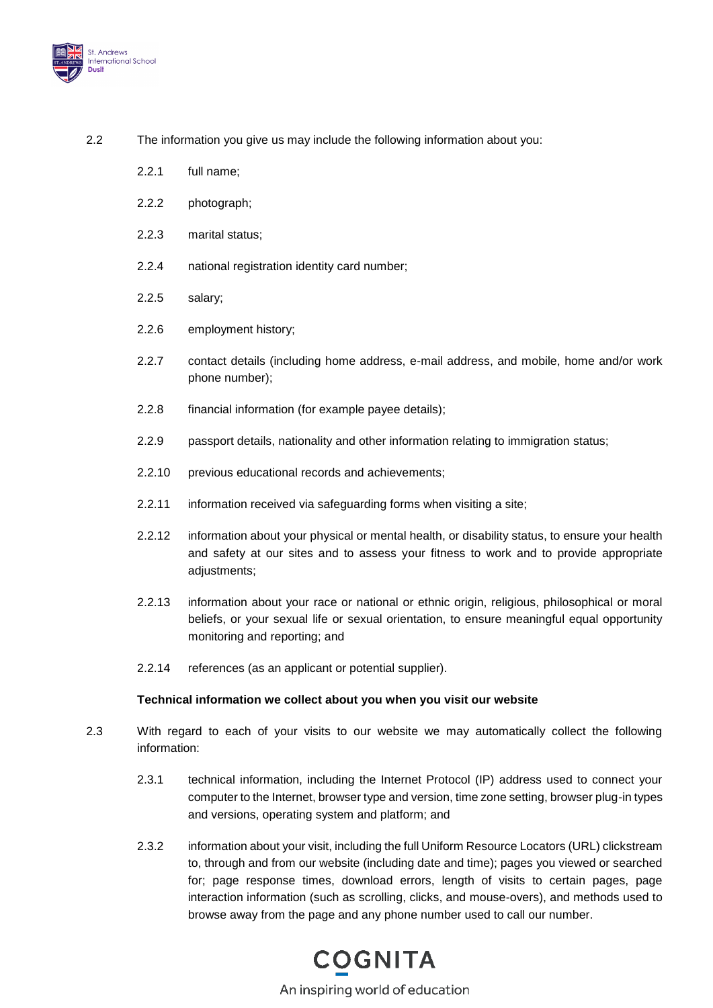

- 2.2 The information you give us may include the following information about you:
	- 2.2.1 full name;
	- 2.2.2 photograph;
	- 2.2.3 marital status;
	- 2.2.4 national registration identity card number;
	- 2.2.5 salary;
	- 2.2.6 employment history;
	- 2.2.7 contact details (including home address, e-mail address, and mobile, home and/or work phone number);
	- 2.2.8 financial information (for example payee details);
	- 2.2.9 passport details, nationality and other information relating to immigration status;
	- 2.2.10 previous educational records and achievements;
	- 2.2.11 information received via safeguarding forms when visiting a site;
	- 2.2.12 information about your physical or mental health, or disability status, to ensure your health and safety at our sites and to assess your fitness to work and to provide appropriate adjustments;
	- 2.2.13 information about your race or national or ethnic origin, religious, philosophical or moral beliefs, or your sexual life or sexual orientation, to ensure meaningful equal opportunity monitoring and reporting; and
	- 2.2.14 references (as an applicant or potential supplier).

### **Technical information we collect about you when you visit our website**

- 2.3 With regard to each of your visits to our website we may automatically collect the following information:
	- 2.3.1 technical information, including the Internet Protocol (IP) address used to connect your computer to the Internet, browser type and version, time zone setting, browser plug-in types and versions, operating system and platform; and
	- 2.3.2 information about your visit, including the full Uniform Resource Locators (URL) clickstream to, through and from our website (including date and time); pages you viewed or searched for; page response times, download errors, length of visits to certain pages, page interaction information (such as scrolling, clicks, and mouse-overs), and methods used to browse away from the page and any phone number used to call our number.

# **COGNITA**

An inspiring world of education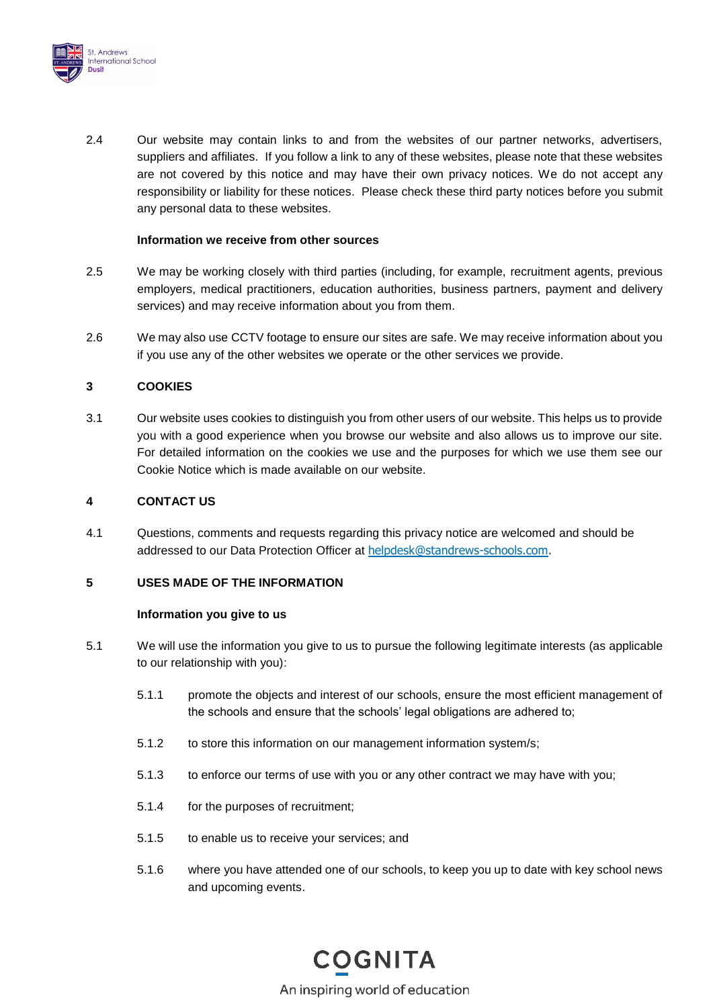

2.4 Our website may contain links to and from the websites of our partner networks, advertisers, suppliers and affiliates. If you follow a link to any of these websites, please note that these websites are not covered by this notice and may have their own privacy notices. We do not accept any responsibility or liability for these notices. Please check these third party notices before you submit any personal data to these websites.

# **Information we receive from other sources**

- 2.5 We may be working closely with third parties (including, for example, recruitment agents, previous employers, medical practitioners, education authorities, business partners, payment and delivery services) and may receive information about you from them.
- 2.6 We may also use CCTV footage to ensure our sites are safe. We may receive information about you if you use any of the other websites we operate or the other services we provide.

# **3 COOKIES**

3.1 Our website uses cookies to distinguish you from other users of our website. This helps us to provide you with a good experience when you browse our website and also allows us to improve our site. For detailed information on the cookies we use and the purposes for which we use them see our Cookie Notice which is made available on our website.

# <span id="page-2-2"></span>**4 CONTACT US**

4.1 Questions, comments and requests regarding this privacy notice are welcomed and should be addressed to our Data Protection Officer at [helpdesk@standrews-schools.com.](mailto:helpdesk@standrews-schools.com)

### **5 USES MADE OF THE INFORMATION**

### **Information you give to us**

- <span id="page-2-3"></span><span id="page-2-1"></span><span id="page-2-0"></span>5.1 We will use the information you give to us to pursue the following legitimate interests (as applicable to our relationship with you):
	- 5.1.1 promote the objects and interest of our schools, ensure the most efficient management of the schools and ensure that the schools' legal obligations are adhered to;
	- 5.1.2 to store this information on our management information system/s;
	- 5.1.3 to enforce our terms of use with you or any other contract we may have with you;
	- 5.1.4 for the purposes of recruitment;
	- 5.1.5 to enable us to receive your services; and
	- 5.1.6 where you have attended one of our schools, to keep you up to date with key school news and upcoming events.

# **COGNITA**

An inspiring world of education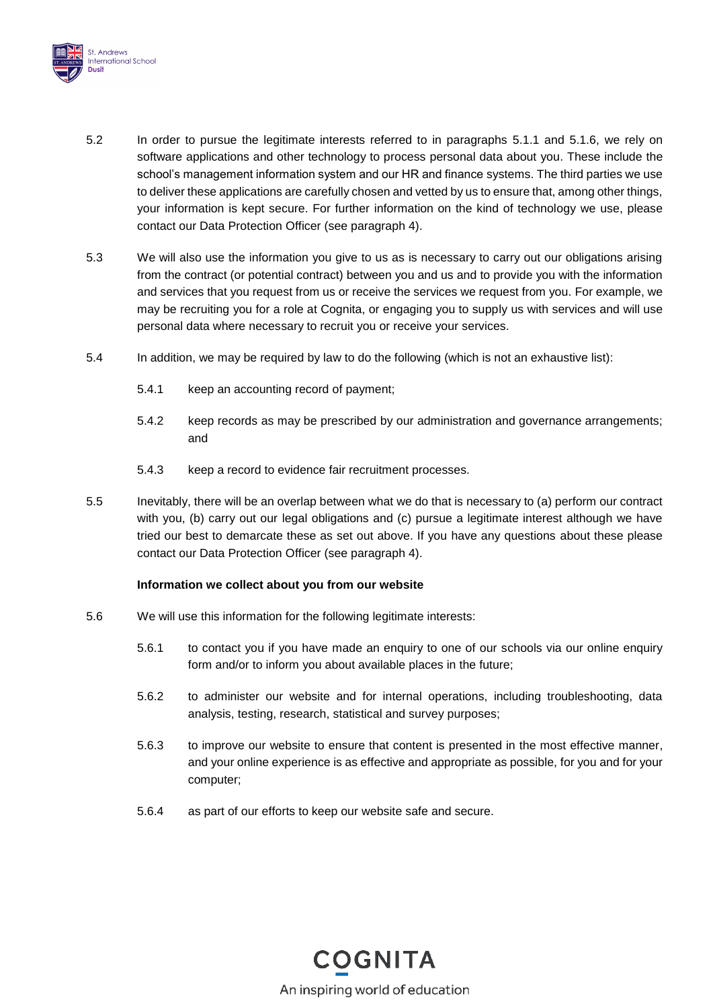

- <span id="page-3-0"></span>5.2 In order to pursue the legitimate interests referred to in paragraphs [5.1.1](#page-2-0) and [5.1.6,](#page-2-1) we rely on software applications and other technology to process personal data about you. These include the school's management information system and our HR and finance systems. The third parties we use to deliver these applications are carefully chosen and vetted by us to ensure that, among other things, your information is kept secure. For further information on the kind of technology we use, please contact our Data Protection Officer (see paragraph [4\)](#page-2-2).
- 5.3 We will also use the information you give to us as is necessary to carry out our obligations arising from the contract (or potential contract) between you and us and to provide you with the information and services that you request from us or receive the services we request from you. For example, we may be recruiting you for a role at Cognita, or engaging you to supply us with services and will use personal data where necessary to recruit you or receive your services.
- 5.4 In addition, we may be required by law to do the following (which is not an exhaustive list):
	- 5.4.1 keep an accounting record of payment;
	- 5.4.2 keep records as may be prescribed by our administration and governance arrangements; and
	- 5.4.3 keep a record to evidence fair recruitment processes.
- 5.5 Inevitably, there will be an overlap between what we do that is necessary to (a) perform our contract with you, (b) carry out our legal obligations and (c) pursue a legitimate interest although we have tried our best to demarcate these as set out above. If you have any questions about these please contact our Data Protection Officer (see paragraph [4\)](#page-2-2).

# **Information we collect about you from our website**

- 5.6 We will use this information for the following legitimate interests:
	- 5.6.1 to contact you if you have made an enquiry to one of our schools via our online enquiry form and/or to inform you about available places in the future;
	- 5.6.2 to administer our website and for internal operations, including troubleshooting, data analysis, testing, research, statistical and survey purposes;
	- 5.6.3 to improve our website to ensure that content is presented in the most effective manner, and your online experience is as effective and appropriate as possible, for you and for your computer;
	- 5.6.4 as part of our efforts to keep our website safe and secure.

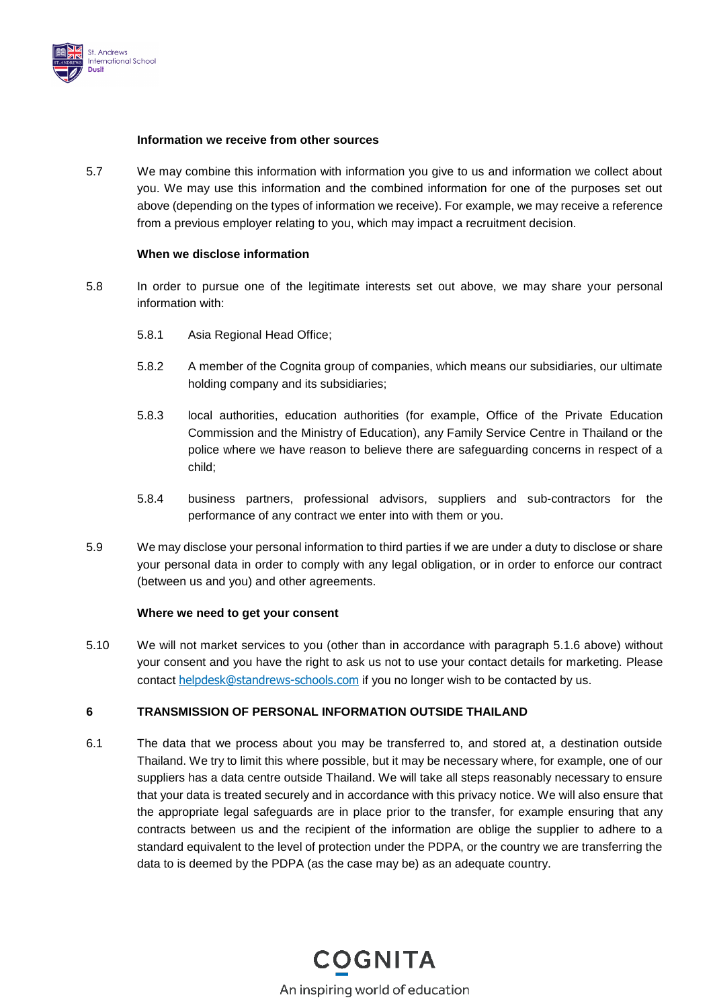

# **Information we receive from other sources**

5.7 We may combine this information with information you give to us and information we collect about you. We may use this information and the combined information for one of the purposes set out above (depending on the types of information we receive). For example, we may receive a reference from a previous employer relating to you, which may impact a recruitment decision.

### **When we disclose information**

- 5.8 In order to pursue one of the legitimate interests set out above, we may share your personal information with:
	- 5.8.1 Asia Regional Head Office;
	- 5.8.2 A member of the Cognita group of companies, which means our subsidiaries, our ultimate holding company and its subsidiaries;
	- 5.8.3 local authorities, education authorities (for example, Office of the Private Education Commission and the Ministry of Education), any Family Service Centre in Thailand or the police where we have reason to believe there are safeguarding concerns in respect of a child;
	- 5.8.4 business partners, professional advisors, suppliers and sub-contractors for the performance of any contract we enter into with them or you.
- 5.9 We may disclose your personal information to third parties if we are under a duty to disclose or share your personal data in order to comply with any legal obligation, or in order to enforce our contract (between us and you) and other agreements.

### **Where we need to get your consent**

5.10 We will not market services to you (other than in accordance with paragraph [5.1.6](#page-2-1) above) without your consent and you have the right to ask us not to use your contact details for marketing. Please contact [helpdesk@standrews-schools.com](mailto:helpdesk@standrews-schools.com) if you no longer wish to be contacted by us.

# **6 TRANSMISSION OF PERSONAL INFORMATION OUTSIDE THAILAND**

6.1 The data that we process about you may be transferred to, and stored at, a destination outside Thailand. We try to limit this where possible, but it may be necessary where, for example, one of our suppliers has a data centre outside Thailand. We will take all steps reasonably necessary to ensure that your data is treated securely and in accordance with this privacy notice. We will also ensure that the appropriate legal safeguards are in place prior to the transfer, for example ensuring that any contracts between us and the recipient of the information are oblige the supplier to adhere to a standard equivalent to the level of protection under the PDPA, or the country we are transferring the data to is deemed by the PDPA (as the case may be) as an adequate country.

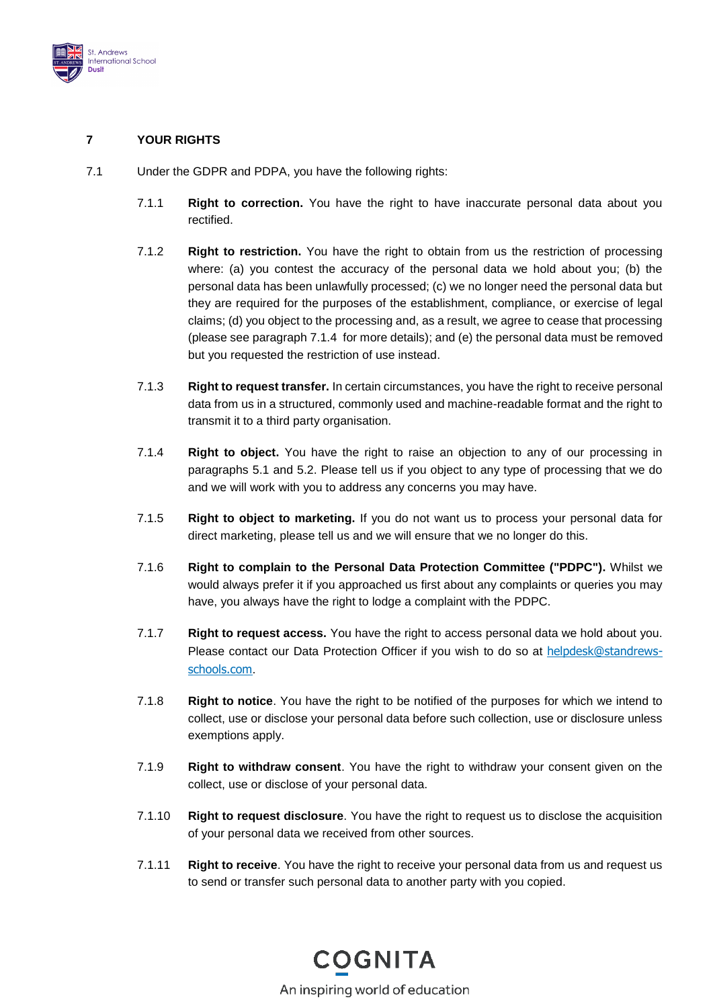

# **7 YOUR RIGHTS**

- <span id="page-5-0"></span>7.1 Under the GDPR and PDPA, you have the following rights:
	- 7.1.1 **Right to correction.** You have the right to have inaccurate personal data about you rectified.
	- 7.1.2 **Right to restriction.** You have the right to obtain from us the restriction of processing where: (a) you contest the accuracy of the personal data we hold about you; (b) the personal data has been unlawfully processed; (c) we no longer need the personal data but they are required for the purposes of the establishment, compliance, or exercise of legal claims; (d) you object to the processing and, as a result, we agree to cease that processing (please see paragraph [7.1.4](#page-5-0) for more details); and (e) the personal data must be removed but you requested the restriction of use instead.
	- 7.1.3 **Right to request transfer.** In certain circumstances, you have the right to receive personal data from us in a structured, commonly used and machine-readable format and the right to transmit it to a third party organisation.
	- 7.1.4 **Right to object.** You have the right to raise an objection to any of our processing in paragraphs [5.1](#page-2-3) and [5.2.](#page-3-0) Please tell us if you object to any type of processing that we do and we will work with you to address any concerns you may have.
	- 7.1.5 **Right to object to marketing.** If you do not want us to process your personal data for direct marketing, please tell us and we will ensure that we no longer do this.
	- 7.1.6 **Right to complain to the Personal Data Protection Committee ("PDPC").** Whilst we would always prefer it if you approached us first about any complaints or queries you may have, you always have the right to lodge a complaint with the PDPC.
	- 7.1.7 **Right to request access.** You have the right to access personal data we hold about you. Please contact our Data Protection Officer if you wish to do so at [helpdesk@standrews](mailto:helpdesk@standrews-schools.com)[schools.com](mailto:helpdesk@standrews-schools.com).
	- 7.1.8 **Right to notice**. You have the right to be notified of the purposes for which we intend to collect, use or disclose your personal data before such collection, use or disclosure unless exemptions apply.
	- 7.1.9 **Right to withdraw consent**. You have the right to withdraw your consent given on the collect, use or disclose of your personal data.
	- 7.1.10 **Right to request disclosure**. You have the right to request us to disclose the acquisition of your personal data we received from other sources.
	- 7.1.11 **Right to receive**. You have the right to receive your personal data from us and request us to send or transfer such personal data to another party with you copied.